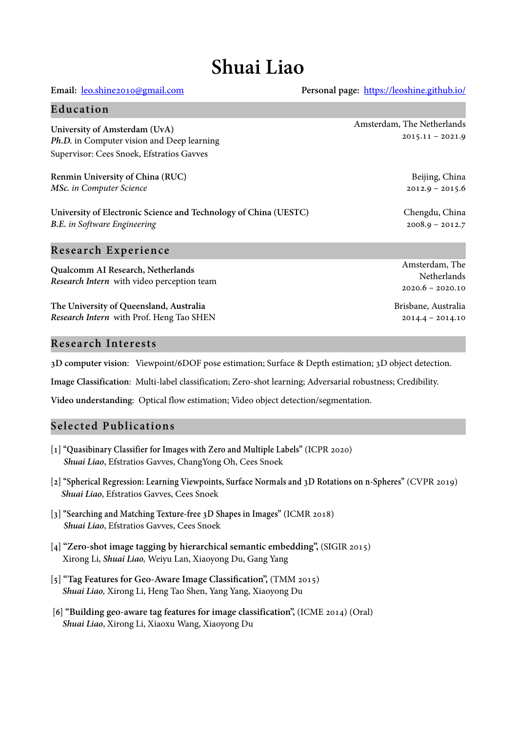# **Shuai Liao**

**Email:** leo.shine2010@gmail.com **Personal page:** https://leoshine.github.io/

 $2014.4 - 2014.10$ 

| Education                                                                                                                |                                                     |
|--------------------------------------------------------------------------------------------------------------------------|-----------------------------------------------------|
| University of Amsterdam (UvA)<br>Ph.D. in Computer vision and Deep learning<br>Supervisor: Cees Snoek, Efstratios Gavves | Amsterdam, The Netherlands<br>$2015.11 - 2021.9$    |
| Renmin University of China (RUC)<br>MSc. in Computer Science                                                             | Beijing, China<br>$2012.9 - 2015.6$                 |
| University of Electronic Science and Technology of China (UESTC)<br><b>B.E.</b> in Software Engineering                  | Chengdu, China<br>$2008.9 - 2012.7$                 |
| <b>Research Experience</b>                                                                                               |                                                     |
| Qualcomm AI Research, Netherlands<br>Research Intern with video perception team                                          | Amsterdam, The<br>Netherlands<br>$2020.6 - 2020.10$ |
| The University of Queensland, Australia                                                                                  | Brisbane, Australia                                 |

# **Research Interests**

*Research Intern* with Prof. Heng Tao SHEN

**3D computer vision**: Viewpoint/6DOF pose estimation; Surface & Depth estimation; 3D object detection.

**Image Classification**: Multi-label classification; Zero-shot learning; Adversarial robustness; Credibility.

**Video understanding**: Optical flow estimation; Video object detection/segmentation.

# **Selected Publications**

- **[1] "Quasibinary Classifier for Images with Zero and Multiple Labels"** (ICPR 2020) *Shuai Liao*, Efstratios Gavves, ChangYong Oh, Cees Snoek
- **[2] "Spherical Regression: Learning Viewpoints, Surface Normals and 3D Rotations on n-Spheres"** (CVPR 2019) *Shuai Liao*, Efstratios Gavves, Cees Snoek
- **[3] "Searching and Matching Texture-free 3D Shapes in Images"** (ICMR 2018) *Shuai Liao*, Efstratios Gavves, Cees Snoek
- **[4] "Zero-shot image tagging by hierarchical semantic embedding",** (SIGIR 2015) Xirong Li, *Shuai Liao,* Weiyu Lan, Xiaoyong Du, Gang Yang
- **[5] "Tag Features for Geo-Aware Image Classification",** (TMM 2015)  *Shuai Liao,* Xirong Li, Heng Tao Shen, Yang Yang, Xiaoyong Du
- **[6] "Building geo-aware tag features for image classification",** (ICME 2014) (Oral)  *Shuai Liao*, Xirong Li, Xiaoxu Wang, Xiaoyong Du